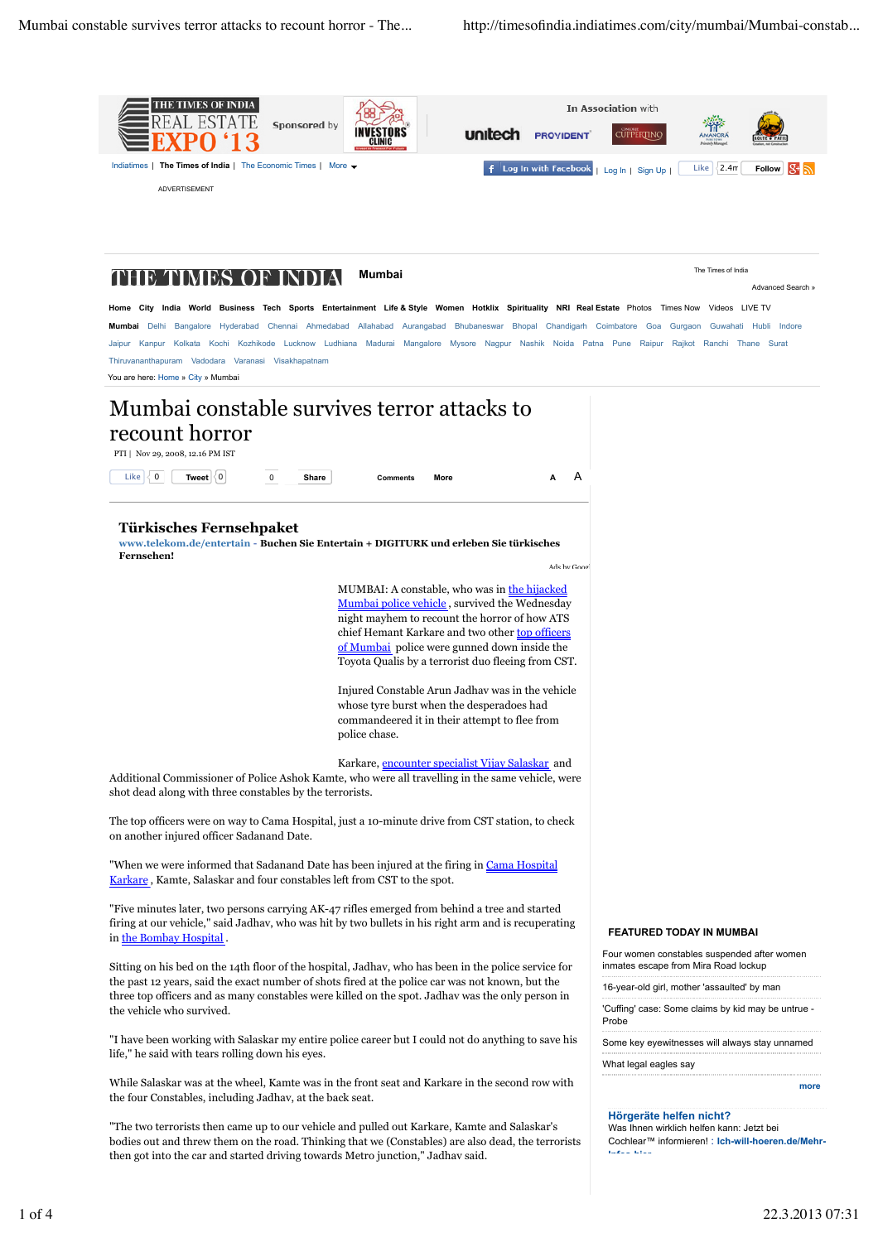